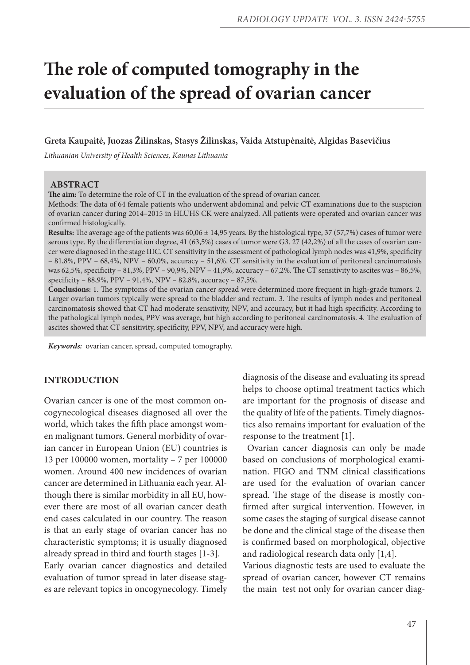# **The role of computed tomography in the evaluation of the spread of ovarian cancer**

#### **Greta Kaupaitė, Juozas Žilinskas, Stasys Žilinskas, Vaida Atstupėnaitė, Algidas Basevičius**

*Lithuanian University of Health Sciences, Kaunas Lithuania*

#### **ABSTRACT**

**The aim:** To determine the role of CT in the evaluation of the spread of ovarian cancer.

Methods: The data of 64 female patients who underwent abdominal and pelvic CT examinations due to the suspicion of ovarian cancer during 2014–2015 in HLUHS CK were analyzed. All patients were operated and ovarian cancer was confirmed histologically.

**Results:** The average age of the patients was 60,06 ± 14,95 years. By the histological type, 37 (57,7%) cases of tumor were serous type. By the differentiation degree, 41 (63,5%) cases of tumor were G3. 27 (42,2%) of all the cases of ovarian cancer were diagnosed in the stage IIIC. CT sensitivity in the assessment of pathological lymph nodes was 41,9%, specificity – 81,8%, PPV – 68,4%, NPV – 60,0%, accuracy – 51,6%. CT sensitivity in the evaluation of peritoneal carcinomatosis was 62,5%, specificity – 81,3%, PPV – 90,9%, NPV – 41,9%, accuracy – 67,2%. The CT sensitivity to ascites was – 86,5%, specificity – 88,9%, PPV – 91,4%, NPV – 82,8%, accuracy – 87,5%.

**Conclusions:** 1. The symptoms of the ovarian cancer spread were determined more frequent in high-grade tumors. 2. Larger ovarian tumors typically were spread to the bladder and rectum. 3. The results of lymph nodes and peritoneal carcinomatosis showed that CT had moderate sensitivity, NPV, and accuracy, but it had high specificity. According to the pathological lymph nodes, PPV was average, but high according to peritoneal carcinomatosis. 4. The evaluation of ascites showed that CT sensitivity, specificity, PPV, NPV, and accuracy were high.

*Keywords:* ovarian cancer, spread, computed tomography.

## **INTRODUCTION**

Ovarian cancer is one of the most common oncogynecological diseases diagnosed all over the world, which takes the fifth place amongst women malignant tumors. General morbidity of ovarian cancer in European Union (EU) countries is 13 per 100000 women, mortality – 7 per 100000 women. Around 400 new incidences of ovarian cancer are determined in Lithuania each year. Although there is similar morbidity in all EU, however there are most of all ovarian cancer death end cases calculated in our country. The reason is that an early stage of ovarian cancer has no characteristic symptoms; it is usually diagnosed already spread in third and fourth stages [1-3]. Early ovarian cancer diagnostics and detailed evaluation of tumor spread in later disease stages are relevant topics in oncogynecology. Timely

diagnosis of the disease and evaluating its spread helps to choose optimal treatment tactics which are important for the prognosis of disease and the quality of life of the patients. Timely diagnostics also remains important for evaluation of the response to the treatment [1].

 Ovarian cancer diagnosis can only be made based on conclusions of morphological examination. FIGO and TNM clinical classifications are used for the evaluation of ovarian cancer spread. The stage of the disease is mostly confirmed after surgical intervention. However, in some cases the staging of surgical disease cannot be done and the clinical stage of the disease then is confirmed based on morphological, objective and radiological research data only [1,4].

Various diagnostic tests are used to evaluate the spread of ovarian cancer, however CT remains the main test not only for ovarian cancer diag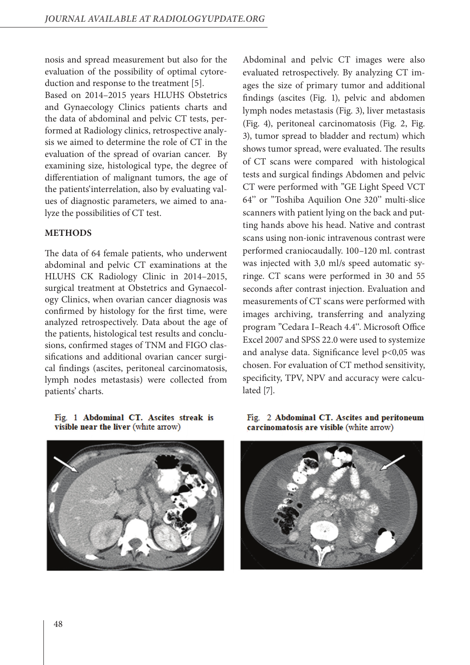nosis and spread measurement but also for the evaluation of the possibility of optimal cytoreduction and response to the treatment [5].

Based on 2014–2015 years HLUHS Obstetrics and Gynaecology Clinics patients charts and the data of abdominal and pelvic CT tests, performed at Radiology clinics, retrospective analysis we aimed to determine the role of CT in the evaluation of the spread of ovarian cancer. By examining size, histological type, the degree of differentiation of malignant tumors, the age of the patients'interrelation, also by evaluating values of diagnostic parameters, we aimed to analyze the possibilities of CT test.

# **METHODS**

The data of 64 female patients, who underwent abdominal and pelvic CT examinations at the HLUHS CK Radiology Clinic in 2014–2015, surgical treatment at Obstetrics and Gynaecology Clinics, when ovarian cancer diagnosis was confirmed by histology for the first time, were analyzed retrospectively. Data about the age of the patients, histological test results and conclusions, confirmed stages of TNM and FIGO classifications and additional ovarian cancer surgical findings (ascites, peritoneal carcinomatosis, lymph nodes metastasis) were collected from patients' charts.

## Fig. 1 Abdominal CT. Ascites streak is visible near the liver (white arrow)



Abdominal and pelvic CT images were also evaluated retrospectively. By analyzing CT images the size of primary tumor and additional findings (ascites (Fig. 1), pelvic and abdomen lymph nodes metastasis (Fig. 3), liver metastasis (Fig. 4), peritoneal carcinomatosis (Fig. 2, Fig. 3), tumor spread to bladder and rectum) which shows tumor spread, were evaluated. The results of CT scans were compared with histological tests and surgical findings Abdomen and pelvic CT were performed with "GE Light Speed VCT 64'' or "Toshiba Aquilion One 320'' multi-slice scanners with patient lying on the back and putting hands above his head. Native and contrast scans using non-ionic intravenous contrast were performed craniocaudally. 100–120 ml. contrast was injected with 3,0 ml/s speed automatic syringe. CT scans were performed in 30 and 55 seconds after contrast injection. Evaluation and measurements of CT scans were performed with images archiving, transferring and analyzing program "Cedara I–Reach 4.4''. Microsoft Office Excel 2007 and SPSS 22.0 were used to systemize and analyse data. Significance level p<0,05 was chosen. For evaluation of CT method sensitivity, specificity, TPV, NPV and accuracy were calculated [7].

Fig. 2 Abdominal CT. Ascites and peritoneum carcinomatosis are visible (white arrow)

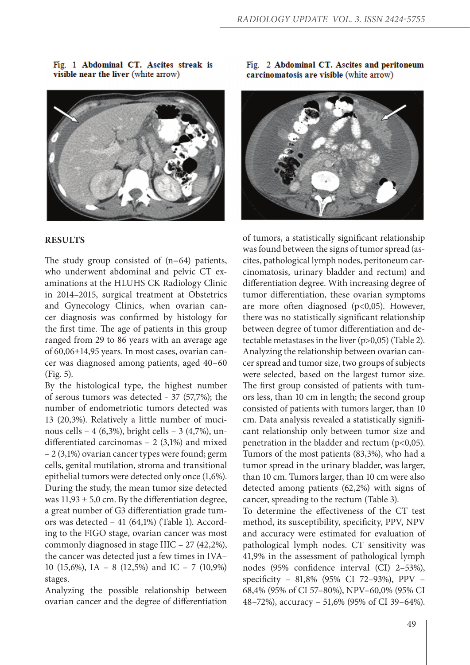### **RESULTS**

The study group consisted of (n=64) patients, who underwent abdominal and pelvic CT examinations at the HLUHS CK Radiology Clinic in 2014–2015, surgical treatment at Obstetrics and Gynecology Clinics, when ovarian cancer diagnosis was confirmed by histology for the first time. The age of patients in this group ranged from 29 to 86 years with an average age of 60,06±14,95 years. In most cases, ovarian cancer was diagnosed among patients, aged 40–60 (Fig. 5).

By the histological type, the highest number of serous tumors was detected - 37 (57,7%); the number of endometriotic tumors detected was 13 (20,3%). Relatively a little number of mucinous cells – 4 (6,3%), bright cells – 3 (4,7%), undifferentiated carcinomas – 2 (3,1%) and mixed – 2 (3,1%) ovarian cancer types were found; germ cells, genital mutilation, stroma and transitional epithelial tumors were detected only once (1,6%). During the study, the mean tumor size detected was  $11,93 \pm 5,0$  cm. By the differentiation degree, a great number of G3 differentiation grade tumors was detected – 41 (64,1%) (Table 1). According to the FIGO stage, ovarian cancer was most commonly diagnosed in stage IIIC – 27 (42,2%), the cancer was detected just a few times in IVA– 10 (15,6%), IA – 8 (12,5%) and IC – 7 (10,9%) stages.

Analyzing the possible relationship between ovarian cancer and the degree of differentiation

Fig. 2 Abdominal CT. Ascites and peritoneum carcinomatosis are visible (white arrow)



of tumors, a statistically significant relationship was found between the signs of tumor spread (ascites, pathological lymph nodes, peritoneum carcinomatosis, urinary bladder and rectum) and differentiation degree. With increasing degree of tumor differentiation, these ovarian symptoms are more often diagnosed (p<0,05). However, there was no statistically significant relationship between degree of tumor differentiation and detectable metastases in the liver (p>0,05) (Table 2). Analyzing the relationship between ovarian cancer spread and tumor size, two groups of subjects were selected, based on the largest tumor size. The first group consisted of patients with tumors less, than 10 cm in length; the second group consisted of patients with tumors larger, than 10 cm. Data analysis revealed a statistically significant relationship only between tumor size and penetration in the bladder and rectum (p<0,05). Tumors of the most patients (83,3%), who had a tumor spread in the urinary bladder, was larger, than 10 cm. Tumors larger, than 10 cm were also detected among patients (62,2%) with signs of cancer, spreading to the rectum (Table 3).

To determine the effectiveness of the CT test method, its susceptibility, specificity, PPV, NPV and accuracy were estimated for evaluation of pathological lymph nodes. CT sensitivity was 41,9% in the assessment of pathological lymph nodes (95% confidence interval (CI) 2–53%), specificity – 81,8% (95% CI 72–93%), PPV – 68,4% (95% of CI 57–80%), NPV–60,0% (95% CI 48–72%), accuracy – 51,6% (95% of CI 39–64%).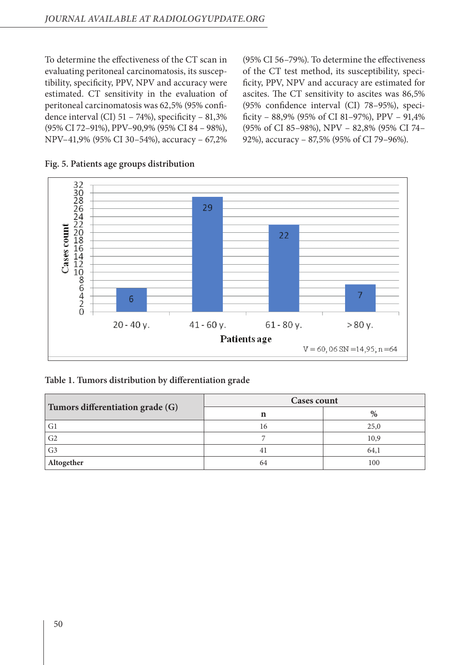To determine the effectiveness of the CT scan in evaluating peritoneal carcinomatosis, its susceptibility, specificity, PPV, NPV and accuracy were estimated. CT sensitivity in the evaluation of peritoneal carcinomatosis was 62,5% (95% confidence interval (CI)  $51 - 74\%$ ), specificity  $-81,3\%$ (95% CI 72–91%), PPV–90,9% (95% CI 84 – 98%), NPV–41,9% (95% CI 30–54%), accuracy – 67,2%

(95% CI 56–79%). To determine the effectiveness of the CT test method, its susceptibility, specificity, PPV, NPV and accuracy are estimated for ascites. The CT sensitivity to ascites was 86,5% (95% confidence interval (CI) 78–95%), specificity –  $88,9\%$  (95% of CI 81–97%), PPV –  $91,4\%$ (95% of CI 85–98%), NPV – 82,8% (95% CI 74– 92%), accuracy – 87,5% (95% of CI 79–96%).



## **Fig. 5. Patients age groups distribution**

## **Table 1. Tumors distribution by differentiation grade**

|                                  | <b>Cases count</b> |      |  |  |
|----------------------------------|--------------------|------|--|--|
| Tumors differentiation grade (G) |                    | %    |  |  |
| G <sub>1</sub>                   | 16                 | 25,0 |  |  |
| G <sub>2</sub>                   |                    | 10,9 |  |  |
| G <sub>3</sub>                   | 4                  | 64,1 |  |  |
| Altogether                       | 64                 | 100  |  |  |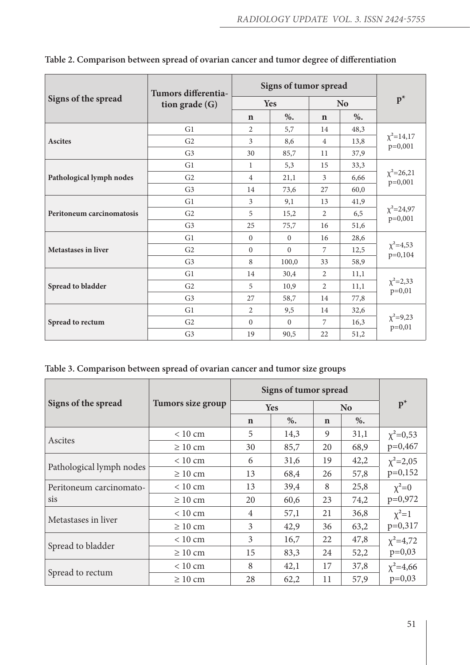|                            | Tumors differentia-<br>tion grade $(G)$ | Signs of tumor spread |              |                |      |                               |  |
|----------------------------|-----------------------------------------|-----------------------|--------------|----------------|------|-------------------------------|--|
| Signs of the spread        |                                         | Yes                   |              | <b>No</b>      |      | $p^*$                         |  |
|                            |                                         | $\mathbf n$           | %            | $\mathbf n$    | %    |                               |  |
|                            | G <sub>1</sub>                          | $\overline{2}$        | 5,7          | 14             | 48,3 |                               |  |
| <b>Ascites</b>             | G <sub>2</sub>                          | 3                     | 8,6          | $\overline{4}$ | 13,8 | $\chi^2$ =14,17<br>$p=0,001$  |  |
|                            | G <sub>3</sub>                          | 30                    | 85,7         | 11             | 37,9 |                               |  |
|                            | G1                                      | 1                     | 5,3          | 15             | 33,3 |                               |  |
| Pathological lymph nodes   | G <sub>2</sub>                          | $\overline{4}$        | 21,1         | 3              | 6,66 | $\chi^2 = 26,21$<br>$p=0,001$ |  |
|                            | G <sub>3</sub>                          | 14                    | 73,6         | 27             | 60,0 |                               |  |
|                            | G1                                      | 3                     | 9,1          | 13             | 41,9 | $\chi^2 = 24.97$<br>$p=0,001$ |  |
| Peritoneum carcinomatosis  | G <sub>2</sub>                          | 5                     | 15,2         | $\overline{2}$ | 6,5  |                               |  |
|                            | G <sub>3</sub>                          | 25                    | 75,7         | 16             | 51,6 |                               |  |
|                            | G1                                      | $\mathbf{0}$          | $\mathbf{0}$ | 16             | 28,6 | $\chi^2$ =4,53<br>p=0,104     |  |
| <b>Metastases in liver</b> | G <sub>2</sub>                          | $\mathbf{0}$          | $\Omega$     | 7              | 12,5 |                               |  |
|                            | G <sub>3</sub>                          | 8                     | 100,0        | 33             | 58,9 |                               |  |
|                            | G1                                      | 14                    | 30,4         | $\overline{2}$ | 11,1 |                               |  |
| Spread to bladder          | G <sub>2</sub>                          | 5                     | 10,9         | $\overline{2}$ | 11,1 | $\chi^2 = 2,33$<br>p=0,01     |  |
|                            | G <sub>3</sub>                          | 27                    | 58,7         | 14             | 77,8 |                               |  |
|                            | G1                                      | $\overline{2}$        | 9,5          | 14             | 32,6 |                               |  |
| Spread to rectum           | G <sub>2</sub>                          | $\Omega$              | $\Omega$     | 7              | 16,3 | $\chi^2 = 9,23$<br>$p=0,01$   |  |
|                            | G <sub>3</sub>                          | 19                    | 90,5         | 22             | 51,2 |                               |  |

|  | Table 2. Comparison between spread of ovarian cancer and tumor degree of differentiation |  |  |
|--|------------------------------------------------------------------------------------------|--|--|
|  |                                                                                          |  |  |

|  |  | Table 3. Comparison between spread of ovarian cancer and tumor size groups |  |  |  |
|--|--|----------------------------------------------------------------------------|--|--|--|
|  |  |                                                                            |  |  |  |

|                          |                   | Signs of tumor spread |      |                |      |                              |  |
|--------------------------|-------------------|-----------------------|------|----------------|------|------------------------------|--|
| Signs of the spread      | Tumors size group |                       | Yes  | N <sub>o</sub> |      | $p^*$                        |  |
|                          |                   | n                     | %    | n              | %    |                              |  |
| Ascites                  | $< 10 \text{ cm}$ | 5                     | 14,3 | 9              | 31,1 | $\chi^2 = 0.53$              |  |
|                          | $\geq 10$ cm      | 30                    | 85,7 | 20             | 68,9 | $p=0,467$                    |  |
| Pathological lymph nodes | < 10 cm           | 6                     | 31,6 | 19             | 42,2 | $\chi^2 = 2.05$<br>$p=0,152$ |  |
|                          | $\geq 10$ cm      | 13                    | 68,4 | 26             | 57,8 |                              |  |
| Peritoneum carcinomato-  | < 10 cm           | 13                    | 39,4 | 8              | 25,8 | $\chi^2=0$                   |  |
| sis                      | $\geq 10$ cm      | 20                    | 60,6 | 23             | 74,2 | $p=0,972$                    |  |
|                          | $< 10 \text{ cm}$ | $\overline{4}$        | 57,1 | 21             | 36,8 | $\chi^2=1$                   |  |
| Metastases in liver      | $\geq 10$ cm      | 3                     | 42,9 | 36             | 63,2 | $p=0,317$                    |  |
|                          | < 10 cm           | 3                     | 16,7 | 22             | 47,8 | $\chi^2 = 4.72$              |  |
| Spread to bladder        | $\geq 10$ cm      | 15                    | 83,3 | 24             | 52,2 | $p=0,03$                     |  |
|                          | < 10 cm           | 8                     | 42,1 | 17             | 37,8 | $\chi^2 = 4,66$              |  |
| Spread to rectum         | $\geq 10$ cm      | 28                    | 62,2 | 11             | 57,9 | $p=0,03$                     |  |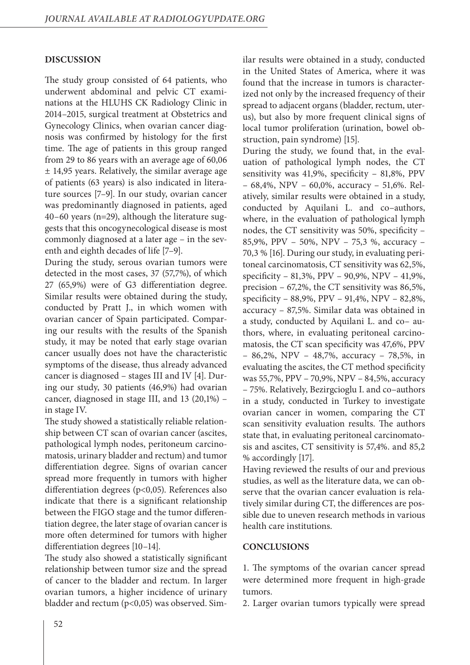# **DISCUSSION**

The study group consisted of 64 patients, who underwent abdominal and pelvic CT examinations at the HLUHS CK Radiology Clinic in 2014–2015, surgical treatment at Obstetrics and Gynecology Clinics, when ovarian cancer diagnosis was confirmed by histology for the first time. The age of patients in this group ranged from 29 to 86 years with an average age of 60,06 ± 14,95 years. Relatively, the similar average age of patients (63 years) is also indicated in literature sources [7–9]. In our study, ovarian cancer was predominantly diagnosed in patients, aged 40–60 years (n=29), although the literature suggests that this oncogynecological disease is most commonly diagnosed at a later age – in the seventh and eighth decades of life [7–9].

During the study, serous ovarian tumors were detected in the most cases, 37 (57,7%), of which 27 (65,9%) were of G3 differentiation degree. Similar results were obtained during the study, conducted by Pratt J., in which women with ovarian cancer of Spain participated. Comparing our results with the results of the Spanish study, it may be noted that early stage ovarian cancer usually does not have the characteristic symptoms of the disease, thus already advanced cancer is diagnosed – stages III and IV [4]. During our study, 30 patients (46,9%) had ovarian cancer, diagnosed in stage III, and 13 (20,1%) – in stage IV.

The study showed a statistically reliable relationship between CT scan of ovarian cancer (ascites, pathological lymph nodes, peritoneum carcinomatosis, urinary bladder and rectum) and tumor differentiation degree. Signs of ovarian cancer spread more frequently in tumors with higher differentiation degrees (p<0,05). References also indicate that there is a significant relationship between the FIGO stage and the tumor differentiation degree, the later stage of ovarian cancer is more often determined for tumors with higher differentiation degrees [10–14].

The study also showed a statistically significant relationship between tumor size and the spread of cancer to the bladder and rectum. In larger ovarian tumors, a higher incidence of urinary bladder and rectum (p<0,05) was observed. Similar results were obtained in a study, conducted in the United States of America, where it was found that the increase in tumors is characterized not only by the increased frequency of their spread to adjacent organs (bladder, rectum, uterus), but also by more frequent clinical signs of local tumor proliferation (urination, bowel obstruction, pain syndrome) [15].

During the study, we found that, in the evaluation of pathological lymph nodes, the CT sensitivity was 41,9%, specificity – 81,8%, PPV – 68,4%, NPV – 60,0%, accuracy – 51,6%. Relatively, similar results were obtained in a study, conducted by Aquilani L. and co–authors, where, in the evaluation of pathological lymph nodes, the CT sensitivity was 50%, specificity – 85,9%, PPV – 50%, NPV – 75,3 %, accuracy – 70,3 % [16]. During our study, in evaluating peritoneal carcinomatosis, CT sensitivity was 62,5%, specificity – 81,3%, PPV – 90,9%, NPV – 41,9%, precision – 67,2%, the CT sensitivity was 86,5%, specificity – 88,9%, PPV – 91,4%, NPV – 82,8%, accuracy – 87,5%. Similar data was obtained in a study, conducted by Aquilani L. and co– authors, where, in evaluating peritoneal carcinomatosis, the CT scan specificity was 47,6%, PPV – 86,2%, NPV – 48,7%, accuracy – 78,5%, in evaluating the ascites, the CT method specificity was 55,7%, PPV – 70,9%, NPV – 84,5%, accuracy – 75%. Relatively, Bezirgcioglu I. and co–authors in a study, conducted in Turkey to investigate ovarian cancer in women, comparing the CT scan sensitivity evaluation results. The authors state that, in evaluating peritoneal carcinomatosis and ascites, CT sensitivity is 57,4%. and 85,2 % accordingly [17].

Having reviewed the results of our and previous studies, as well as the literature data, we can observe that the ovarian cancer evaluation is relatively similar during CT, the differences are possible due to uneven research methods in various health care institutions.

## **CONCLUSIONS**

1. The symptoms of the ovarian cancer spread were determined more frequent in high-grade tumors.

2. Larger ovarian tumors typically were spread